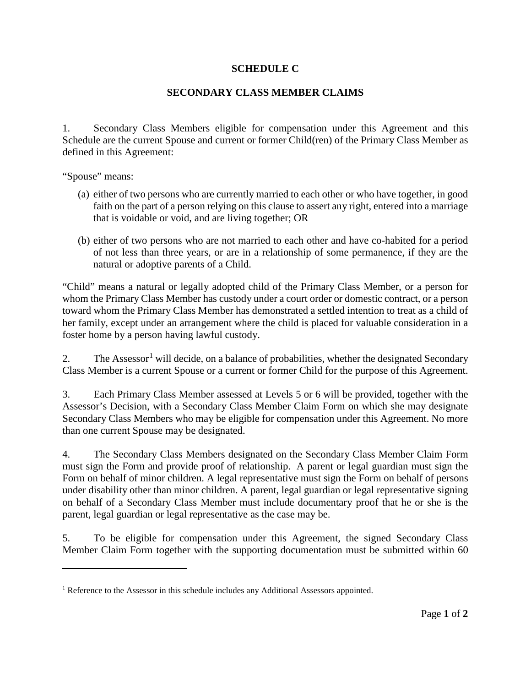## **SCHEDULE C**

## **SECONDARY CLASS MEMBER CLAIMS**

1. Secondary Class Members eligible for compensation under this Agreement and this Schedule are the current Spouse and current or former Child(ren) of the Primary Class Member as defined in this Agreement:

"Spouse" means:

 $\overline{a}$ 

- (a) either of two persons who are currently married to each other or who have together, in good faith on the part of a person relying on this clause to assert any right, entered into a marriage that is voidable or void, and are living together; OR
- (b) either of two persons who are not married to each other and have co-habited for a period of not less than three years, or are in a relationship of some permanence, if they are the natural or adoptive parents of a Child.

"Child" means a natural or legally adopted child of the Primary Class Member, or a person for whom the Primary Class Member has custody under a court order or domestic contract, or a person toward whom the Primary Class Member has demonstrated a settled intention to treat as a child of her family, except under an arrangement where the child is placed for valuable consideration in a foster home by a person having lawful custody.

2. The Assessor<sup>[1](#page-0-0)</sup> will decide, on a balance of probabilities, whether the designated Secondary Class Member is a current Spouse or a current or former Child for the purpose of this Agreement.

3. Each Primary Class Member assessed at Levels 5 or 6 will be provided, together with the Assessor's Decision, with a Secondary Class Member Claim Form on which she may designate Secondary Class Members who may be eligible for compensation under this Agreement. No more than one current Spouse may be designated.

4. The Secondary Class Members designated on the Secondary Class Member Claim Form must sign the Form and provide proof of relationship. A parent or legal guardian must sign the Form on behalf of minor children. A legal representative must sign the Form on behalf of persons under disability other than minor children. A parent, legal guardian or legal representative signing on behalf of a Secondary Class Member must include documentary proof that he or she is the parent, legal guardian or legal representative as the case may be.

5. To be eligible for compensation under this Agreement, the signed Secondary Class Member Claim Form together with the supporting documentation must be submitted within 60

<span id="page-0-0"></span><sup>&</sup>lt;sup>1</sup> Reference to the Assessor in this schedule includes any Additional Assessors appointed.